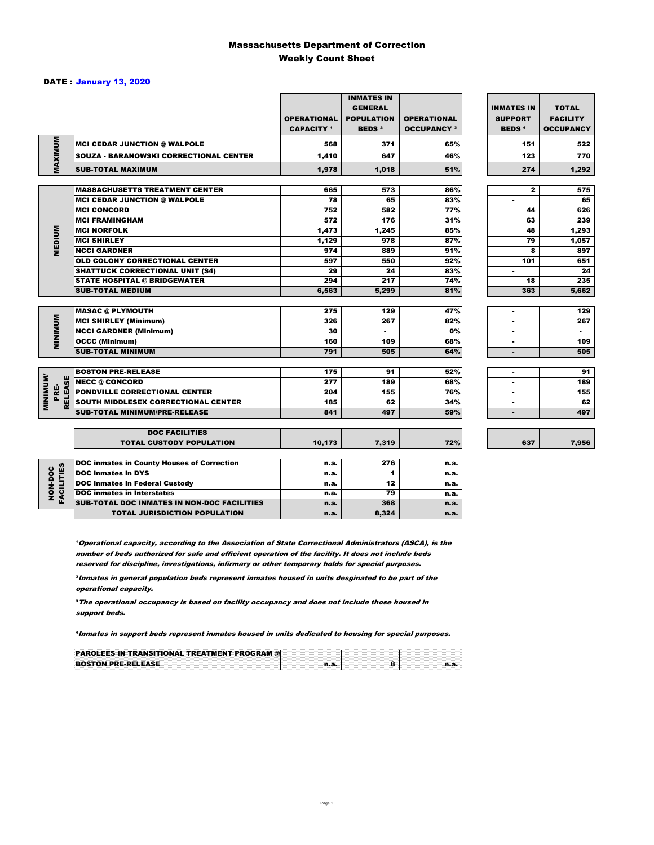#### Massachusetts Department of Correction Weekly Count Sheet

#### DATE : January 13, 2020

|                              |                                                   | <b>OPERATIONAL</b><br><b>CAPACITY</b> 1 | <b>INMATES IN</b><br><b>GENERAL</b><br><b>POPULATION</b><br><b>BEDS<sup>2</sup></b> | <b>OPERATIONAL</b><br><b>OCCUPANCY 3</b> | <b>INMATES IN</b><br><b>SUPPORT</b><br><b>BEDS<sup>4</sup></b> | <b>TOTAL</b><br><b>FACILITY</b><br><b>OCCUPANCY</b> |
|------------------------------|---------------------------------------------------|-----------------------------------------|-------------------------------------------------------------------------------------|------------------------------------------|----------------------------------------------------------------|-----------------------------------------------------|
| MAXIMUM                      | <b>MCI CEDAR JUNCTION @ WALPOLE</b>               | 568                                     | 371                                                                                 | 65%                                      | 151                                                            | 522                                                 |
|                              | <b>SOUZA - BARANOWSKI CORRECTIONAL CENTER</b>     | 1,410                                   | 647                                                                                 | 46%                                      | 123                                                            | 770                                                 |
|                              | <b>SUB-TOTAL MAXIMUM</b>                          | 1,978                                   | 1.018                                                                               | 51%                                      | 274                                                            | 1,292                                               |
|                              | <b>MASSACHUSETTS TREATMENT CENTER</b>             | 665                                     | 573                                                                                 | 86%                                      | $\mathbf{z}$                                                   | 575                                                 |
|                              | <b>MCI CEDAR JUNCTION @ WALPOLE</b>               | 78                                      | 65                                                                                  | 83%                                      | $\blacksquare$                                                 | 65                                                  |
|                              | <b>MCI CONCORD</b>                                | 752                                     | 582                                                                                 | 77%                                      | 44                                                             | 626                                                 |
|                              | <b>MCI FRAMINGHAM</b>                             | 572                                     | 176                                                                                 | 31%                                      | 63                                                             | 239                                                 |
|                              | <b>MCI NORFOLK</b>                                | 1,473                                   | 1,245                                                                               | 85%                                      | 48                                                             | 1,293                                               |
| <b>MEDIUM</b>                | <b>MCI SHIRLEY</b>                                | 1,129                                   | 978                                                                                 | 87%                                      | 79                                                             | 1,057                                               |
|                              | <b>NCCI GARDNER</b>                               | 974                                     | 889                                                                                 | 91%                                      | 8                                                              | 897                                                 |
|                              | <b>OLD COLONY CORRECTIONAL CENTER</b>             | 597                                     | 550                                                                                 | 92%                                      | 101                                                            | 651                                                 |
|                              | <b>SHATTUCK CORRECTIONAL UNIT (S4)</b>            | 29                                      | 24                                                                                  | 83%                                      | ٠                                                              | 24                                                  |
|                              | <b>STATE HOSPITAL @ BRIDGEWATER</b>               | 294                                     | 217                                                                                 | 74%                                      | 18                                                             | 235                                                 |
|                              | <b>SUB-TOTAL MEDIUM</b>                           | 6,563                                   | 5,299                                                                               | 81%                                      | 363                                                            | 5,662                                               |
|                              | <b>MASAC @ PLYMOUTH</b>                           | 275                                     | 129                                                                                 | 47%                                      | ۰                                                              | 129                                                 |
| <b>MINIMINU</b>              | <b>MCI SHIRLEY (Minimum)</b>                      | 326                                     | 267                                                                                 | 82%                                      | $\blacksquare$                                                 | 267                                                 |
|                              | <b>NCCI GARDNER (Minimum)</b>                     | 30                                      | ٠.                                                                                  | 0%                                       | ٠                                                              | $\sim$                                              |
|                              | <b>OCCC (Minimum)</b>                             | 160                                     | 109                                                                                 | 68%                                      | ۰                                                              | 109                                                 |
|                              | <b>SUB-TOTAL MINIMUM</b>                          | 791                                     | 505                                                                                 | 64%                                      | $\blacksquare$                                                 | 505                                                 |
|                              |                                                   |                                         |                                                                                     |                                          |                                                                |                                                     |
|                              | <b>BOSTON PRE-RELEASE</b>                         | 175                                     | 91                                                                                  | 52%                                      | $\blacksquare$                                                 | 91                                                  |
| <b>MINIMIN</b><br>ш          | <b>NECC @ CONCORD</b>                             | 277                                     | 189                                                                                 | 68%                                      | ٠                                                              | 189                                                 |
| <b>RELEAS</b><br>PRE-        | <b>PONDVILLE CORRECTIONAL CENTER</b>              | 204                                     | 155                                                                                 | 76%                                      | $\overline{\phantom{a}}$                                       | 155                                                 |
|                              | <b>SOUTH MIDDLESEX CORRECTIONAL CENTER</b>        | 185                                     | 62                                                                                  | 34%                                      | ٠                                                              | 62                                                  |
|                              | <b>SUB-TOTAL MINIMUM/PRE-RELEASE</b>              | 841                                     | 497                                                                                 | 59%                                      | $\blacksquare$                                                 | 497                                                 |
|                              | <b>DOC FACILITIES</b>                             |                                         |                                                                                     |                                          |                                                                |                                                     |
|                              | <b>TOTAL CUSTODY POPULATION</b>                   | 10,173                                  | 7,319                                                                               | 72%                                      | 637                                                            | 7,956                                               |
|                              | <b>DOC inmates in County Houses of Correction</b> | n.a.                                    | 276                                                                                 | n.a.                                     |                                                                |                                                     |
|                              | <b>DOC</b> inmates in DYS                         | n.a.                                    | 1                                                                                   | n.a.                                     |                                                                |                                                     |
|                              | <b>DOC inmates in Federal Custody</b>             | n.a.                                    | 12                                                                                  | n.a.                                     |                                                                |                                                     |
| <b>FACILITIES</b><br>NON-DOC | <b>DOC</b> inmates in Interstates                 |                                         | 79                                                                                  | n.a.                                     |                                                                |                                                     |
|                              | SUR-TOTAL DOC INMATES IN NON-DOC EACH ITIES       | n.a.                                    | 269                                                                                 |                                          |                                                                |                                                     |

**1 Operational capacity, according to the Association of State Correctional Administrators (ASCA), is the** number of beds authorized for safe and efficient operation of the facility. It does not include beds reserved for discipline, investigations, infirmary or other temporary holds for special purposes.

**DOC inmates in Interstates n.a.** 79 n.a. **79 n.a.** 7. SUB-TOTAL DOC INMATES IN NON-DOC FACILITIES n.a. 368 n.a.<br>TOTAL JURISDICTION POPULATION n.a. 8,324 n.a. TOTAL JURISDICTION POPULATION **n.a.** 8,324 n.a.

²Inmates in general population beds represent inmates housed in units desginated to be part of the operational capacity.

³The operational occupancy is based on facility occupancy and does not include those housed in support beds.

⁴Inmates in support beds represent inmates housed in units dedicated to housing for special purposes.

| <b>PAROLEES IN TRANSITIONAL TREATMENT PROGRAM @</b> |  |     |
|-----------------------------------------------------|--|-----|
| <b>BOSTON PRE-RELEASE</b>                           |  | n.a |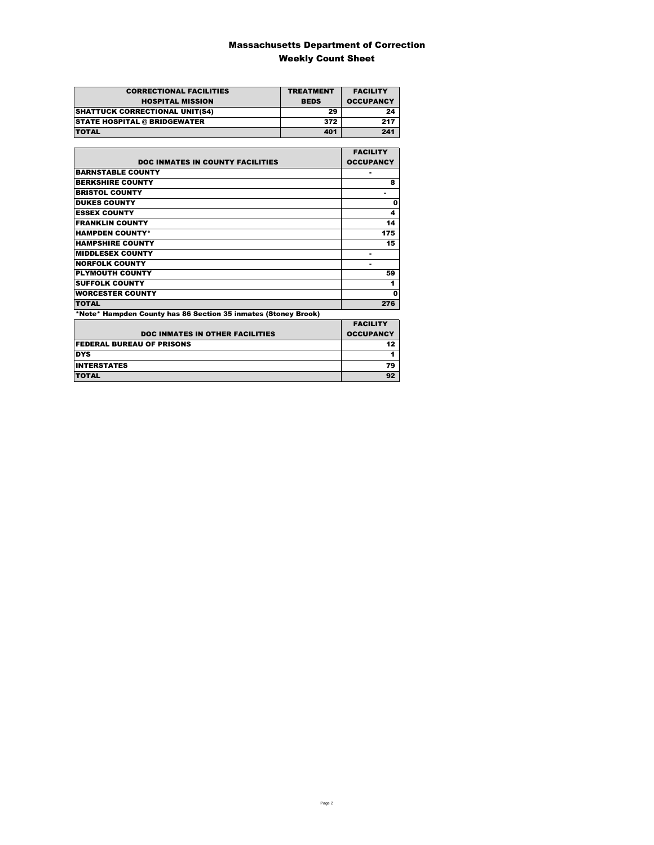### Massachusetts Department of Correction Weekly Count Sheet

| <b>CORRECTIONAL FACILITIES</b>        | <b>TREATMENT</b> | <b>FACILITY</b>  |
|---------------------------------------|------------------|------------------|
| <b>HOSPITAL MISSION</b>               | <b>BEDS</b>      | <b>OCCUPANCY</b> |
| <b>SHATTUCK CORRECTIONAL UNIT(S4)</b> | 29               | 24               |
| <b>STATE HOSPITAL @ BRIDGEWATER</b>   | 372              | 217              |
| <b>TOTAL</b>                          | 401              | 241              |

|                                                                | <b>FACILITY</b>  |
|----------------------------------------------------------------|------------------|
| <b>DOC INMATES IN COUNTY FACILITIES</b>                        | <b>OCCUPANCY</b> |
| <b>BARNSTABLE COUNTY</b>                                       | ٠                |
| <b>BERKSHIRE COUNTY</b>                                        | 8                |
| <b>BRISTOL COUNTY</b>                                          |                  |
| <b>DUKES COUNTY</b>                                            | O                |
| <b>ESSEX COUNTY</b>                                            | 4                |
| <b>FRANKLIN COUNTY</b>                                         | 14               |
| <b>HAMPDEN COUNTY*</b>                                         | 175              |
| <b>HAMPSHIRE COUNTY</b>                                        | 15               |
| <b>MIDDLESEX COUNTY</b>                                        | ٠                |
| <b>NORFOLK COUNTY</b>                                          | -                |
| <b>PLYMOUTH COUNTY</b>                                         | 59               |
| <b>SUFFOLK COUNTY</b>                                          | 1                |
| <b>WORCESTER COUNTY</b>                                        | Ω                |
| <b>TOTAL</b>                                                   | 276              |
| *Note* Hampden County has 86 Section 35 inmates (Stoney Brook) |                  |
|                                                                | <b>FACILITY</b>  |
| <b>DOC INMATES IN OTHER FACILITIES</b>                         | <b>OCCUPANCY</b> |
| <b>FEDERAL BUREAU OF PRISONS</b>                               | 12               |
| <b>DYS</b>                                                     | 1                |
| <b>INTERSTATES</b>                                             | 79               |
| <b>TOTAL</b>                                                   | 92               |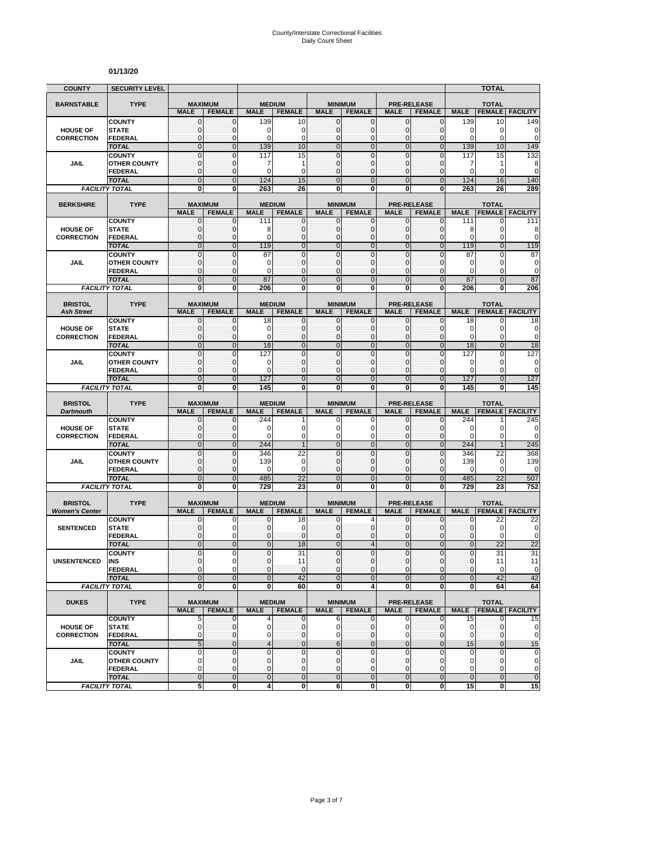#### **01/13/20**

| <b>COUNTY</b>         | <b>SECURITY LEVEL</b>                 |                                |                                 |                |                                |                            |                                  |                             |                                     |                   | ΤΟΤΑΙ                        |                          |
|-----------------------|---------------------------------------|--------------------------------|---------------------------------|----------------|--------------------------------|----------------------------|----------------------------------|-----------------------------|-------------------------------------|-------------------|------------------------------|--------------------------|
| <b>BARNSTABLE</b>     | <b>TYPE</b>                           |                                | <b>MAXIMUM</b>                  | <b>MEDIUM</b>  |                                | <b>MINIMUM</b>             |                                  | <b>PRE-RELEASE</b>          |                                     | <b>TOTAL</b>      |                              |                          |
|                       |                                       | <b>MALE</b>                    | <b>FEMALE</b>                   | <b>MALE</b>    | <b>FEMALE</b>                  | <b>MALE</b>                | <b>FEMALE</b>                    | <b>MALE</b>                 | <b>FEMALE</b>                       | <b>MALE</b>       | <b>FEMALE</b>                | <b>FACILITY</b>          |
|                       | <b>COUNTY</b>                         | 0                              | $\mathbf{0}$                    | 139            | 10                             | $\mathbf{0}$               | $\mathbf 0$                      | $\mathbf 0$                 | 0                                   | 139               | 10                           | 149                      |
| <b>HOUSE OF</b>       | <b>STATE</b>                          | 0                              | $\mathbf 0$                     | $\Omega$       | 0                              | $\mathbf 0$                | $\mathbf 0$                      | $\mathbf 0$                 | $\Omega$                            | 0                 | 0                            | 0                        |
| <b>CORRECTION</b>     | <b>FEDERAL</b>                        | $\mathbf{0}$                   | 0                               | $\Omega$       | 0                              | $\mathbf{0}$               | 0                                | $\mathbf 0$                 | 0                                   | 0                 | 0                            | $\mathbf 0$              |
|                       | <b>TOTAL</b><br><b>COUNTY</b>         | $\overline{0}$<br>$\mathbf{0}$ | $\overline{0}$<br>$\mathbf{0}$  | 139<br>117     | 10<br>15                       | $\overline{0}$<br>$\Omega$ | $\overline{0}$<br>$\overline{0}$ | $\overline{0}$<br>$\Omega$  | $\overline{0}$<br>$\Omega$          | 139<br>117        | 10<br>15                     | 149<br>132               |
| <b>JAIL</b>           | <b>OTHER COUNTY</b>                   | $\mathbf 0$                    | 0                               | 7              | 1                              | $\mathbf{0}$               | $\mathbf 0$                      | $\mathbf 0$                 | $\mathbf{0}$                        | 7                 | 1                            | 8                        |
|                       | <b>FEDERAL</b>                        | $\mathbf{0}$                   | $\mathbf{0}$                    | $\Omega$       | $\mathbf 0$                    | $\Omega$                   | $\mathbf{0}$                     | $\mathbf 0$                 | $\Omega$                            | $\Omega$          | $\Omega$                     | $\mathbf 0$              |
|                       | <b>TOTAL</b>                          | $\overline{0}$                 | $\overline{0}$                  | 124            | 15                             | $\overline{0}$             | $\overline{0}$                   | $\overline{0}$              | $\overline{0}$                      | 124               | 16                           | 140                      |
|                       | <b>FACILITY TOTAL</b>                 | 0                              | 0                               | 263            | 26                             | 0                          | 0                                | 0                           | 0                                   | 263               | 26                           | 289                      |
|                       |                                       |                                |                                 |                |                                |                            |                                  |                             |                                     |                   |                              |                          |
| <b>BERKSHIRE</b>      | <b>TYPE</b>                           | <b>MALE</b>                    | <b>MAXIMUM</b><br><b>FEMALE</b> | <b>MALE</b>    | <b>MEDIUM</b><br><b>FEMALE</b> | <b>MALE</b>                | <b>MINIMUM</b><br><b>FEMALE</b>  | <b>MALE</b>                 | <b>PRE-RELEASE</b><br><b>FEMALE</b> | <b>MALE</b>       | <b>TOTAL</b>                 | <b>FEMALE FACILITY</b>   |
|                       | <b>COUNTY</b>                         | 0                              | 0                               | 111            | 0                              | 0                          | $\mathbf 0$                      | 0                           | $\mathbf{0}$                        | 111               | 0                            | 111                      |
| <b>HOUSE OF</b>       | <b>STATE</b>                          | 0                              | 0                               | 8              | $\mathbf 0$                    | $\mathbf 0$                | $\mathbf 0$                      | $\mathbf 0$                 | $\mathbf{0}$                        | 8                 | $\Omega$                     | 8                        |
| <b>CORRECTION</b>     | <b>FEDERAL</b>                        | 0                              | 0                               | $\Omega$       | $\mathbf 0$                    | $\Omega$                   | $\bf{0}$                         | $\mathbf{0}$                | 0                                   | $\Omega$          | $\Omega$                     | $\mathbf 0$              |
|                       | <b>TOTAL</b>                          | $\overline{0}$                 | $\overline{0}$                  | 119            | $\overline{0}$                 | $\overline{0}$             | $\overline{0}$                   | $\overline{0}$              | $\overline{0}$                      | 119               | $\overline{0}$               | 119                      |
|                       | <b>COUNTY</b>                         | $\bf{0}$                       | $\mathbf 0$                     | 87             | $\mathbf 0$                    | $\mathbf 0$                | $\bf{0}$                         | $\mathbf 0$                 | 0                                   | 87                | $\mathbf{0}$                 | 87                       |
| <b>JAIL</b>           | <b>OTHER COUNTY</b><br><b>FEDERAL</b> | $\bf{0}$<br>$\mathbf{0}$       | $\mathbf 0$<br>$\mathbf 0$      | 0<br>$\Omega$  | 0<br>$\mathbf 0$               | $\Omega$<br>$\mathbf 0$    | 0<br>$\mathbf 0$                 | $\mathbf 0$<br>$\mathbf{0}$ | 0<br>$\mathbf{0}$                   | 0<br>$\Omega$     | $\Omega$<br>$\mathbf{0}$     | 0<br>$\mathbf 0$         |
|                       | <b>TOTAL</b>                          | $\overline{0}$                 | $\mathbf{0}$                    | 87             | $\overline{0}$                 | $\mathbf{0}$               | $\overline{0}$                   | $\mathbf{0}$                | $\overline{0}$                      | 87                | $\overline{0}$               | 87                       |
|                       | <b>FACILITY TOTAL</b>                 | 0                              | 0                               | 206            | 0                              | 0                          | Ō                                | 0                           | 0                                   | 206               | 0                            | 206                      |
|                       |                                       |                                |                                 |                |                                |                            |                                  |                             |                                     |                   |                              |                          |
| <b>BRISTOL</b>        | <b>TYPE</b>                           |                                | <b>MAXIMUM</b>                  |                | <b>MEDIUM</b>                  |                            | <b>MINIMUM</b>                   |                             | <b>PRE-RELEASE</b>                  |                   | <b>TOTAL</b>                 |                          |
| <b>Ash Street</b>     |                                       | <b>MALE</b>                    | <b>FEMALE</b>                   | <b>MALE</b>    | <b>FEMALE</b>                  | <b>MALE</b>                | <b>FEMALE</b>                    | <b>MALE</b>                 | <b>FEMALE</b>                       | <b>MALE</b>       | <b>FEMALE</b>                | <b>FACILITY</b>          |
| <b>HOUSE OF</b>       | <b>COUNTY</b><br><b>STATE</b>         | 0<br>0                         | 0<br>$\mathbf{0}$               | 18<br>0        | 0<br>0                         | 0<br>$\mathbf 0$           | $\mathbf 0$<br>$\mathbf 0$       | 0<br>$\mathbf{0}$           | $\mathbf{0}$<br>0                   | 18<br>0           | 0<br>$\mathbf{0}$            | 18<br>0                  |
| <b>CORRECTION</b>     | <b>FEDERAL</b>                        | $\mathbf 0$                    | $\mathbf{0}$                    | 0              | $\mathbf 0$                    | $\mathbf{0}$               | $\mathbf{0}$                     | $\mathbf{0}$                | 0                                   | 0                 | $\mathbf{0}$                 | $\mathbf 0$              |
|                       | <b>TOTAL</b>                          | $\overline{0}$                 | $\overline{0}$                  | 18             | $\overline{0}$                 | $\overline{0}$             | $\overline{0}$                   | $\overline{0}$              | $\overline{0}$                      | 18                | $\overline{0}$               | 18                       |
|                       | <b>COUNTY</b>                         | $\mathbf{0}$                   | $\mathbf 0$                     | 127            | $\mathbf 0$                    | $\mathbf{0}$               | $\mathbf{0}$                     | $\mathbf 0$                 | 0                                   | 127               | $\Omega$                     | 127                      |
| <b>JAIL</b>           | <b>OTHER COUNTY</b>                   | 0                              | 0                               | 0              | 0                              | $\mathbf{0}$               | $\mathbf 0$                      | $\mathbf 0$                 | $\mathbf{0}$                        | 0                 | $\mathbf{0}$                 | 0                        |
|                       | <b>FEDERAL</b>                        | $\mathbf 0$                    | $\mathbf{0}$                    | 0              | $\mathbf{0}$                   | $\mathbf 0$                | $\mathbf{0}$                     | $\mathbf{0}$                | 0                                   | $\overline{0}$    | $\mathbf{0}$                 | $\mathbf 0$              |
|                       | <b>TOTAL</b><br><b>FACILITY TOTAL</b> | $\overline{0}$<br>0            | $\overline{0}$<br>0             | 127<br>145     | $\overline{0}$<br>0            | $\overline{0}$<br>0        | $\overline{0}$<br>0              | $\mathbf 0$<br>0            | $\overline{0}$<br>$\mathbf{0}$      | 127<br>145        | $\overline{0}$<br>0          | 127<br>145               |
|                       |                                       |                                |                                 |                |                                |                            |                                  |                             |                                     |                   |                              |                          |
| <b>BRISTOL</b>        | <b>TYPE</b>                           |                                | <b>MAXIMUM</b>                  |                | <b>MEDIUM</b>                  |                            | <b>MINIMUM</b>                   |                             | <b>PRE-RELEASE</b>                  |                   | <b>TOTAL</b>                 |                          |
| <b>Dartmouth</b>      |                                       | <b>MALE</b>                    | <b>FEMALE</b>                   | <b>MALE</b>    | <b>FEMALE</b>                  | <b>MALE</b>                | <b>FEMALE</b>                    | <b>MALE</b>                 | <b>FEMALE</b>                       | <b>MALE</b>       | <b>FEMALE</b>                | <b>FACILITY</b>          |
| <b>HOUSE OF</b>       | <b>COUNTY</b><br><b>STATE</b>         | 0<br>0                         | 0<br>$\mathbf{0}$               | 244<br>C       | 0                              | 0<br>$\mathbf 0$           | 0<br>$\mathbf 0$                 | 0<br>$\mathbf{0}$           | 0<br>0                              | 244<br>0          | 0                            | 245<br>0                 |
| <b>CORRECTION</b>     | <b>FEDERAL</b>                        | $\mathbf{0}$                   | $\mathbf 0$                     | $\Omega$       | 0                              | 0                          | $\mathbf 0$                      | $\mathbf 0$                 | 0                                   | $\overline{0}$    | 0                            | $\mathbf 0$              |
|                       | <b>TOTAL</b>                          | $\overline{0}$                 | $\overline{0}$                  | 244            | $\overline{1}$                 | $\overline{0}$             | $\overline{0}$                   | $\overline{0}$              | $\overline{0}$                      | 244               |                              | 245                      |
|                       | <b>COUNTY</b>                         | $\overline{0}$                 | 0                               | 346            | 22                             | $\overline{0}$             | $\overline{0}$                   | $\overline{0}$              | 0                                   | 346               | 22                           | 368                      |
| <b>JAIL</b>           | <b>OTHER COUNTY</b>                   | $\mathbf{0}$                   | $\mathbf{0}$                    | 139            | $\mathbf 0$                    | $\mathbf{0}$               | $\mathbf{0}$                     | $\mathbf{0}$                | $\overline{0}$                      | 139               | 0                            | 139                      |
|                       | <b>FEDERAL</b>                        | $\mathbf{0}$                   | $\mathbf{0}$                    | $\Omega$       | $\mathbf 0$                    | $\mathbf{0}$               | $\mathbf{0}$                     | $\mathbf{0}$                | $\overline{0}$                      | 0                 | 0                            | 0                        |
|                       | <b>TOTAL</b>                          | $\overline{0}$                 | $\mathbf 0$                     | 485            | 22                             | $\mathbf 0$                | $\overline{0}$                   | $\overline{0}$              | $\overline{0}$                      | 485               | 22                           | 507                      |
|                       | <b>FACILITY TOTAL</b>                 | Ō                              | O                               | 729            | 23                             | $\overline{\mathbf{0}}$    | $\overline{\mathbf{0}}$          | 0                           | $\mathbf 0$                         | 729               | 23                           | 752                      |
| <b>BRISTOL</b>        | <b>TYPE</b>                           |                                | <b>MAXIMUM</b>                  |                | <b>MEDIUM</b>                  |                            | <b>MINIMUM</b>                   |                             | <b>PRE-RELEASE</b>                  |                   | <b>TOTAL</b>                 |                          |
| <b>Women's Center</b> |                                       | <b>MALE</b>                    | <b>FEMALE</b>                   | <b>MALE</b>    | <b>FEMALE</b>                  | <b>MALE</b>                | <b>FEMALE</b>                    | <b>MALE</b>                 | <b>FEMALE</b>                       | <b>MALE</b>       |                              | <b>FEMALE FACILITY</b>   |
|                       | <b>COUNTY</b>                         | 0                              | 0                               | $\mathbf{0}$   | 18                             | 0                          | 4                                | 0                           | 0                                   | $\mathbf{0}$      | 22                           | 22                       |
| <b>SENTENCED</b>      | <b>STATE</b><br><b>FEDERAL</b>        | 0<br>$\Omega$                  | 0<br>0                          | $\Omega$       | 0<br>$\mathbf{0}$              | $\Omega$<br>$\Omega$       | $\mathbf{0}$<br>$\mathbf{0}$     | $\mathbf 0$<br>$\mathbf 0$  | 0<br>0                              | 0<br>0            | 0<br>$\Omega$                | $\mathbf 0$<br>0         |
|                       | <b>TOTAL</b>                          | $\overline{0}$                 | $\overline{0}$                  | $\mathbf{0}$   | 18                             | $\overline{0}$             | $\overline{4}$                   | $\overline{0}$              | $\overline{0}$                      | $\overline{0}$    | 22                           | 22                       |
|                       | <b>COUNTY</b>                         | 0                              | 0                               | 0              | 31                             | $\mathbf{0}$               | 0                                | $\mathbf{0}$                | $\mathbf{0}$                        | $\mathbf{0}$      | 31                           | 31                       |
| UNSENTENCED           | <b>INS</b>                            | 0                              | 0                               | $\overline{0}$ | 11                             | 0                          | 0                                | 0                           | 0                                   | 0                 | 11                           | 11                       |
|                       | <b>FEDERAL</b>                        | $\mathbf 0$                    | 0                               | $\mathbf 0$    | $\mathbf{0}$                   | $\mathbf 0$                | $\mathbf 0$                      | $\mathbf 0$                 | $\overline{0}$                      | $\mathbf 0$       | 0                            | 0                        |
|                       | <b>TOTAL</b>                          | $\mathbf{0}$                   | $\mathbf 0$                     | $\mathbf{0}$   | 42                             | $\mathbf{0}$               | $\mathbf 0$                      | $\mathbf 0$                 | $\overline{0}$                      | $\mathbf{0}$      | 42                           | 42                       |
|                       | <b>FACILITY TOTAL</b>                 | $\mathbf 0$                    | 0                               | 0              | 60                             | $\mathbf{0}$               | 4                                | 0                           | $\mathbf 0$                         | $\mathbf 0$       | 64                           | 64                       |
| <b>DUKES</b>          | <b>TYPE</b>                           |                                | MAXIMUM                         |                | <b>MEDIUM</b>                  |                            | <b>MINIMUM</b>                   |                             | <b>PRE-RELEASE</b>                  |                   | <b>TOTAL</b>                 |                          |
|                       |                                       | <b>MALE</b>                    | <b>FEMALE</b>                   | <b>MALE</b>    | <b>FEMALE</b>                  | <b>MALE</b>                | <b>FEMALE</b>                    | <b>MALE</b>                 | <b>FEMALE</b>                       | <b>MALE</b>       |                              | <b>FEMALE   FACILITY</b> |
|                       | <b>COUNTY</b>                         | 5                              | 0                               |                | 0                              | 6                          | 0                                | 0                           | 0                                   | 15                | 0                            | 15                       |
| <b>HOUSE OF</b>       | STATE                                 | 0                              | 0                               | 0              | 0                              | $\mathbf 0$                | 0                                | 0                           | 0                                   | 0                 | 0                            | 0                        |
| <b>CORRECTION</b>     | <b>FEDERAL</b>                        | 0                              | $\mathbf{0}$                    | $\mathbf 0$    | 0                              | 0                          | $\mathbf{0}$                     | 0                           | $\mathbf{0}$                        | $\Omega$          | $\mathbf{0}$                 | $\pmb{0}$                |
|                       | <b>TOTAL</b>                          | 5<br>$\pmb{0}$                 | $\pmb{0}$<br>$\mathbf{0}$       | 4<br>0         | $\mathbf{0}$<br>$\mathbf{0}$   | 6<br>$\mathbf 0$           | $\mathbf 0$<br>$\mathbf{0}$      | $\mathbf 0$<br>$\mathbf{0}$ | $\overline{0}$<br>0                 | 15<br>$\mathbf 0$ | $\mathbf{0}$<br>$\mathbf{0}$ | 15<br>$\overline{0}$     |
| JAIL                  | <b>COUNTY</b><br><b>OTHER COUNTY</b>  | 0                              | $\mathbf{0}$                    | $\mathbf{0}$   | 0                              | $\mathbf 0$                | $\mathbf{0}$                     | $\mathbf{0}$                | $\mathbf{0}$                        | 0                 | 0                            | 0                        |
|                       | <b>FEDERAL</b>                        | 0                              | $\mathbf{0}$                    | 0              | $\mathbf{0}$                   | $\mathbf 0$                | 0                                | $\mathbf{0}$                | 0                                   | 0                 | 0                            | $\mathbf 0$              |
|                       |                                       |                                |                                 |                |                                |                            |                                  |                             |                                     |                   |                              |                          |
|                       | <b>TOTAL</b>                          | $\overline{0}$                 | $\overline{0}$                  | $\mathbf 0$    | $\overline{\mathbf{0}}$        | $\overline{0}$             | $\overline{0}$                   | $\overline{0}$              | $\mathbf 0$                         | $\overline{0}$    | $\mathbf{0}$                 | $\overline{0}$<br>15     |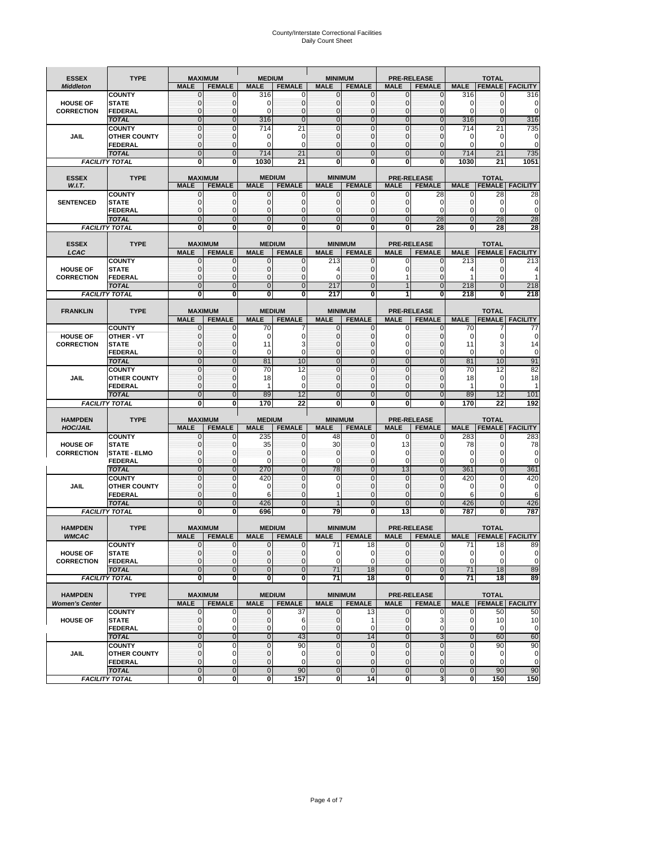## County/Interstate Correctional Facilities Daily Count Sheet

| <b>ESSEX</b>                   | <b>TYPE</b>                          |                                | <b>MAXIMUM</b>                  | <b>MEDIUM</b> |                                | <b>MINIMUM</b>                |                                 |                                | <b>PRE-RELEASE</b>                  |              | <b>TOTAL</b>                           |                 |
|--------------------------------|--------------------------------------|--------------------------------|---------------------------------|---------------|--------------------------------|-------------------------------|---------------------------------|--------------------------------|-------------------------------------|--------------|----------------------------------------|-----------------|
| <b>Middleton</b>               |                                      | <b>MALE</b>                    | <b>FEMALE</b>                   | <b>MALE</b>   | <b>FEMALE</b>                  | <b>MALE</b>                   | <b>FEMALE</b>                   | <b>MALE</b>                    | <b>FEMALE</b>                       | <b>MALE</b>  | <b>FEMALE</b>                          | <b>FACILITY</b> |
|                                | <b>COUNTY</b>                        | 0                              | 0                               | 316           | 0                              | 0                             | 0                               | 0                              |                                     | 316          |                                        | 316             |
| <b>HOUSE OF</b>                | <b>STATE</b>                         | 0                              | $\mathbf{0}$                    | 0             | $\mathbf{0}$                   | $\mathbf{0}$                  | $\mathbf{0}$                    | $\mathbf{0}$                   | $\Omega$                            | $\Omega$     | 0                                      | 0               |
| <b>CORRECTION</b>              | FEDERAL                              | 0                              | $\mathbf 0$                     | $\Omega$      | $\mathbf{0}$                   | $\mathbf{0}$                  | 0                               | $\mathbf 0$                    | $\Omega$<br>$\Omega$                | $\Omega$     | 0                                      | 0               |
|                                | <b>TOTAL</b>                         | $\mathbf{0}$<br>$\overline{0}$ | $\mathbf 0$<br>$\overline{0}$   | 316<br>714    | $\mathbf{0}$                   | $\mathbf 0$<br>$\overline{0}$ | $\mathbf{0}$<br>$\overline{0}$  | $\mathbf{0}$<br>$\overline{0}$ |                                     | 316<br>714   | $\mathbf 0$                            | 316<br>735      |
| JAIL                           | <b>COUNTY</b><br><b>OTHER COUNTY</b> | $\mathbf 0$                    | $\mathbf 0$                     | O             | 21<br>0                        | $\mathbf 0$                   | 0                               | $\mathbf 0$                    | 0<br>0                              | 0            | 21<br>0                                | 0               |
|                                | <b>FEDERAL</b>                       | $\mathbf 0$                    | $\mathbf{0}$                    | $\Omega$      | 0                              | $\mathbf{0}$                  | 0                               | $\mathbf 0$                    | $\Omega$                            | $\Omega$     | 0                                      | 0               |
|                                | <b>TOTAL</b>                         | $\overline{0}$                 | $\overline{0}$                  | 714           | 21                             | $\Omega$                      | $\overline{0}$                  | $\mathbf{0}$                   | $\mathbf{0}$                        | 714          | 21                                     | 735             |
|                                | <b>FACILITY TOTAL</b>                | 0                              | 0                               | 1030          | 21                             | $\mathbf 0$                   | 0                               | 0                              | 0                                   | 1030         | 21                                     | 1051            |
|                                |                                      |                                |                                 |               |                                |                               |                                 |                                |                                     |              |                                        |                 |
| <b>ESSEX</b>                   | <b>TYPE</b>                          |                                | <b>MAXIMUM</b>                  |               | <b>MEDIUM</b>                  |                               | <b>MINIMUM</b>                  |                                | <b>PRE-RELEASE</b>                  |              | <b>TOTAL</b>                           |                 |
| W.I.T.                         |                                      | <b>MALE</b>                    | <b>FEMALE</b>                   | <b>MALE</b>   | <b>FEMALE</b>                  | <b>MALE</b>                   | <b>FEMALE</b>                   | <b>MALE</b>                    | <b>FEMALE</b>                       | <b>MALE</b>  | <b>FEMALE</b>                          | <b>FACILITY</b> |
|                                | <b>COUNTY</b>                        | 0                              | 0                               | O             | 0                              | $\mathbf 0$                   | 0                               | 0                              | 28                                  | 0            | 28                                     | 28              |
| <b>SENTENCED</b>               | <b>STATE</b>                         | 0                              | $\mathbf{0}$                    | $\Omega$      | 0                              | $\mathbf{0}$                  | 0                               | $\mathbf{0}$                   | $\Omega$                            | 0            | 0                                      | 0               |
|                                | <b>FEDERAL</b>                       | $\mathbf{0}$                   | $\mathbf 0$                     | $\Omega$      | $\mathbf{0}$                   | $\mathbf 0$                   | 0                               | $\mathbf 0$                    | $\Omega$                            | 0            | $\Omega$                               | 0               |
|                                | <b>TOTAL</b>                         | $\overline{0}$                 | $\overline{0}$                  | $\Omega$      | $\mathbf{0}$                   | $\mathbf{0}$                  | $\overline{0}$                  | $\overline{0}$                 | 28                                  | $\mathbf{0}$ | 28                                     | 28              |
|                                | <b>FACILITY TOTAL</b>                | Ō                              | 0                               | $\mathbf 0$   | 0                              | 0                             | 0                               | 0                              | 28                                  | 0            | 28                                     | 28              |
| <b>ESSEX</b>                   | <b>TYPE</b>                          |                                | <b>MAXIMUM</b>                  |               | <b>MEDIUM</b>                  |                               | <b>MINIMUM</b>                  |                                | <b>PRE-RELEASE</b>                  |              | <b>TOTAL</b>                           |                 |
| LCAC                           |                                      | <b>MALE</b>                    | <b>FEMALE</b>                   | <b>MALE</b>   | <b>FEMALE</b>                  | <b>MALE</b>                   | <b>FEMALE</b>                   | <b>MALE</b>                    | <b>FEMALE</b>                       | <b>MALE</b>  | <b>FEMALE</b>                          | <b>FACILITY</b> |
|                                | <b>COUNTY</b>                        | 0                              | 0                               | 0             | 0                              | 213                           | 0                               | 0                              | O                                   | 213          | 0                                      | 213             |
| <b>HOUSE OF</b>                | <b>STATE</b>                         | $\mathbf{0}$                   | $\mathbf{0}$                    | 0             | 0                              | 4                             | 0                               | $\mathbf 0$                    | 0                                   | 4            | 0                                      | 4               |
| <b>CORRECTION</b>              | FEDERAL                              | $\mathbf{0}$                   | $\mathbf 0$                     | 0             | $\mathbf{0}$                   | $\mathbf 0$                   | $\mathbf{0}$                    | 1                              | 0                                   |              | 0                                      |                 |
|                                | <b>TOTAL</b>                         | $\mathbf{0}$                   | $\overline{0}$                  | $\mathbf{0}$  | $\mathbf{0}$                   | 217                           | $\mathbf{0}$                    | $\mathbf 1$                    | $\mathbf{0}$                        | 218          | $\mathbf{0}$                           | 218             |
|                                | <b>FACILITY TOTAL</b>                | Ō                              | 0                               | $\mathbf 0$   | 0                              | 217                           | Ō                               | 1                              | 0                                   | 218          | 0                                      | 218             |
|                                |                                      |                                |                                 |               |                                |                               |                                 |                                |                                     |              |                                        |                 |
| <b>FRANKLIN</b>                | <b>TYPE</b>                          |                                | <b>MAXIMUM</b>                  |               | <b>MEDIUM</b>                  |                               | <b>MINIMUM</b>                  |                                | <b>PRE-RELEASE</b>                  |              | <b>TOTAL</b>                           |                 |
|                                |                                      | <b>MALE</b>                    | <b>FEMALE</b>                   | <b>MALE</b>   | <b>FEMALE</b>                  | <b>MALE</b>                   | <b>FEMALE</b>                   | <b>MALE</b>                    | <b>FEMALE</b>                       | <b>MALE</b>  | <b>FEMALE</b>                          | <b>FACILITY</b> |
|                                | <b>COUNTY</b>                        | 0                              | $\mathbf 0$                     | 70            |                                | 0                             | 0                               | 0                              | C                                   | 70           |                                        | 77              |
| <b>HOUSE OF</b>                | OTHER - VT                           | 0                              | 0                               | 0             | 0                              | $\mathbf{0}$                  | 0                               | 0                              | $\Omega$                            | 0            | 0                                      | 0               |
| <b>CORRECTION</b>              | <b>STATE</b>                         | 0                              | $\mathbf 0$                     | 11            | 3                              | 0                             | 0                               | $\mathbf 0$                    | 0                                   | 11           | 3                                      | 14              |
|                                | <b>FEDERAL</b>                       | 0                              | $\mathbf{0}$                    | 0             | $\mathbf 0$                    | $\Omega$                      | 0                               | 0                              | $\Omega$                            | 0            | 0                                      | $\mathbf 0$     |
|                                | <b>TOTAL</b>                         | $\overline{0}$                 | $\overline{0}$                  | 81            | 10                             | $\overline{0}$                | $\overline{0}$                  | $\overline{0}$                 | $\mathbf{0}$                        | 81           | 10                                     | 91              |
|                                | <b>COUNTY</b>                        | $\overline{0}$                 | 0                               | 70            | 12                             | $\mathbf{0}$                  | $\overline{0}$                  | 0                              | $\Omega$                            | 70           | 12                                     | 82              |
| JAIL                           | <b>OTHER COUNTY</b>                  | $\mathbf{0}$                   | $\mathbf 0$                     | 18            | 0                              | 0                             | 0                               | $\mathbf 0$                    | 0                                   | 18           | 0                                      | 18              |
|                                | <b>FEDERAL</b>                       | $\mathbf 0$                    | $\mathbf 0$                     | 1             | $\mathbf 0$                    | $\mathbf 0$                   | $\mathbf 0$                     | $\mathbf{0}$                   | 0                                   | 1            | 0                                      |                 |
|                                | <b>TOTAL</b>                         | $\overline{0}$                 | $\overline{0}$                  | 89            | 12                             | $\mathbf 0$                   | $\mathbf 0$                     | $\overline{0}$                 | $\Omega$                            | 89           | 12                                     | 101             |
|                                | <b>FACILITY TOTAL</b>                | Ō                              | 0                               | 170           | 22                             | 0                             | Ō                               | 0                              | 0                                   | 170          | 22                                     | 192             |
| <b>HAMPDEN</b>                 | <b>TYPE</b>                          |                                | <b>MAXIMUM</b>                  | <b>MEDIUM</b> |                                | <b>MINIMUM</b>                |                                 |                                | <b>PRE-RELEASE</b>                  |              | <b>TOTAL</b>                           |                 |
| <b>HOC/JAIL</b>                |                                      | <b>MALE</b>                    | <b>FEMALE</b>                   | <b>MALE</b>   | <b>FEMALE</b>                  | <b>MALE</b>                   | <b>FEMALE</b>                   | <b>MALE</b>                    | <b>FEMALE</b>                       | <b>MALE</b>  | <b>FEMALE FACILITY</b>                 |                 |
|                                | <b>COUNTY</b>                        | $\mathbf{0}$                   | 0                               | 235           | 0                              | 48                            | 0                               | $\Omega$                       | $\Omega$                            | 283          | 0                                      | 283             |
| <b>HOUSE OF</b>                | <b>STATE</b>                         | 0                              | 0                               | 35            | 0                              | 30                            | 0                               | 13                             | $\Omega$                            | 78           | 0                                      | 78              |
| <b>CORRECTION</b>              | <b>STATE - ELMO</b>                  | 0                              | 0                               | $\mathbf{0}$  | $\mathbf{0}$                   | $\mathbf 0$                   | 0                               | 0                              | O                                   | $\Omega$     | 0                                      | 0               |
|                                | <b>FEDERAL</b>                       | 0                              | 0                               | O             | 0                              | $\Omega$                      | 0                               | 0                              | 0                                   | 0            | 0                                      | $\mathbf 0$     |
|                                | <b>TOTAL</b>                         | $\overline{0}$                 | $\overline{0}$                  | 270           | $\overline{0}$                 | 78                            | $\overline{0}$                  | 13                             | $\Omega$                            | 361          | $\overline{0}$                         | 361             |
|                                | <b>COUNTY</b>                        | $\mathbf{0}$                   | $\mathbf 0$                     | 420           | 0                              | $\mathbf 0$                   | $\mathbf{0}$                    | $\mathbf 0$                    | $\Omega$                            | 420          | 0                                      | 420             |
| JAIL                           | <b>OTHER COUNTY</b>                  | $\mathbf{0}$                   | $\mathbf 0$                     | $\Omega$      | $\mathbf{0}$                   | 0                             | 0                               | $\mathbf{0}$                   | 0                                   | 0            | 0                                      | 0               |
|                                | <b>FEDERAL</b>                       | 0                              | 0                               | 6             | $\mathbf{0}$                   | 1                             | 0                               | 0                              | $\Omega$                            | 6            | 0                                      | 6               |
|                                | <b>TOTAL</b>                         | $\overline{0}$                 | $\overline{0}$                  | 426           | $\overline{0}$                 | $\mathbf{1}$                  | $\overline{0}$                  | $\overline{0}$                 | $\mathbf{0}$                        | 426          | $\mathbf 0$                            | 426             |
|                                | <b>FACILITY TOTAL</b>                | 0                              | 0                               | 696           | 0                              | 79                            | 0                               | 13                             | 0                                   | 787          | 0                                      | 787             |
|                                |                                      |                                |                                 |               |                                |                               |                                 |                                |                                     |              |                                        |                 |
| <b>HAMPDEN</b><br><b>WMCAC</b> | <b>TYPE</b>                          | <b>MALE</b>                    | <b>MAXIMUM</b><br><b>FEMALE</b> | <b>MALE</b>   | <b>MEDIUM</b><br><b>FEMALE</b> | <b>MALE</b>                   | <b>MINIMUM</b><br><b>FEMALE</b> | <b>MALE</b>                    | <b>PRE-RELEASE</b><br><b>FEMALE</b> | <b>MALE</b>  | <b>TOTAL</b><br><b>FEMALE FACILITY</b> |                 |
|                                | <b>COUNTY</b>                        | $\Omega$                       |                                 | $\Omega$      | $\Omega$                       | 71                            | 18 <sup>1</sup>                 | $\Omega$                       |                                     | 71           | 18                                     | 89              |
| <b>HOUSE OF</b>                | <b>STATE</b>                         | 0                              | $\mathbf{0}$                    | $\mathbf 0$   | 0                              | $\mathbf 0$                   | 0                               | 0                              | $\mathbf{0}$                        | 0            | 0                                      | $\pmb{0}$       |
| <b>CORRECTION</b>              | <b>FEDERAL</b>                       | $\mathbf 0$                    | 0                               | $\mathbf{0}$  | 0                              | 0                             | 0                               | $\mathbf{0}$                   | 0                                   | 0            | 0                                      | 0               |
|                                | <b>TOTAL</b>                         | $\overline{0}$                 | $\mathbf 0$                     | $\mathbf 0$   | $\overline{0}$                 | 71                            | 18                              | $\mathbf 0$                    | $\mathbf 0$                         | 71           | 18                                     | 89              |
|                                | <b>FACILITY TOTAL</b>                | 0                              | $\mathbf 0$                     | 0             | $\mathbf{0}$                   | 71                            | 18                              | 0                              | $\mathbf 0$                         | 71           | 18                                     | 89              |
|                                |                                      |                                |                                 |               |                                |                               |                                 |                                |                                     |              |                                        |                 |
| <b>HAMPDEN</b>                 | <b>TYPE</b>                          |                                | <b>MAXIMUM</b>                  |               | <b>MEDIUM</b>                  |                               | <b>MINIMUM</b>                  |                                | PRE-RELEASE                         |              | <b>TOTAL</b>                           |                 |
| <b>Women's Center</b>          |                                      | <b>MALE</b>                    | <b>FEMALE</b>                   | <b>MALE</b>   | <b>FEMALE</b>                  | <b>MALE</b>                   | <b>FEMALE</b>                   | <b>MALE</b>                    | <b>FEMALE</b>                       | <b>MALE</b>  | <b>FEMALE</b>                          | <b>FACILITY</b> |
|                                | <b>COUNTY</b>                        | 0                              | 0                               | 0             | 37                             | 0                             | 13                              | 0                              | 0                                   | 0            | 50                                     | 50              |
| <b>HOUSE OF</b>                | <b>STATE</b>                         | 0                              | 0                               | 0             | 6                              | $\mathbf 0$                   | 1                               | $\mathbf 0$                    | 3                                   | 0            | 10                                     | 10              |
|                                | <b>FEDERAL</b>                       | 0                              | 0                               | $\mathbf{0}$  | 0                              | $\mathbf{0}$                  | 0                               | $\mathbf{0}$                   | $\mathbf 0$                         | 0            | 0                                      | 0               |
|                                | <b>TOTAL</b>                         | $\overline{0}$                 | $\overline{0}$                  | $\mathbf 0$   | 43                             | $\overline{0}$                | 14                              | $\overline{0}$                 | 3                                   | $\mathbf 0$  | 60                                     | 60              |
|                                | <b>COUNTY</b>                        | 0                              | $\mathbf 0$                     | $\mathbf{0}$  | 90                             | $\mathbf{0}$                  | 0                               | $\mathbf{0}$                   | $\mathbf{0}$                        | $\mathbf{0}$ | 90                                     | 90              |
| JAIL                           | <b>OTHER COUNTY</b>                  | $\mathbf{0}$                   | 0                               | $\mathbf{0}$  | 0                              | $\mathbf{0}$                  | $\mathbf{0}$                    | 0                              | $\mathbf{0}$                        | 0            | 0                                      | 0               |
|                                | <b>FEDERAL</b>                       | 0                              | 0                               | $\mathbf{0}$  | 0                              | $\mathbf 0$                   | 0                               | 0                              | 0                                   | 0            | 0                                      | 0               |
|                                | <b>TOTAL</b>                         | $\mathbf 0$                    | $\mathbf 0$                     | $\mathbf 0$   | 90                             | $\mathbf 0$                   | $\mathbf 0$                     | $\mathbf 0$                    | $\mathbf 0$                         | $\pmb{0}$    | 90                                     | 90              |
|                                | <b>FACILITY TOTAL</b>                | O                              | $\mathbf{0}$                    | ō             | 157                            | $\mathbf{0}$                  | 14                              | 0                              | 3                                   | $\mathbf 0$  | 150                                    | 150             |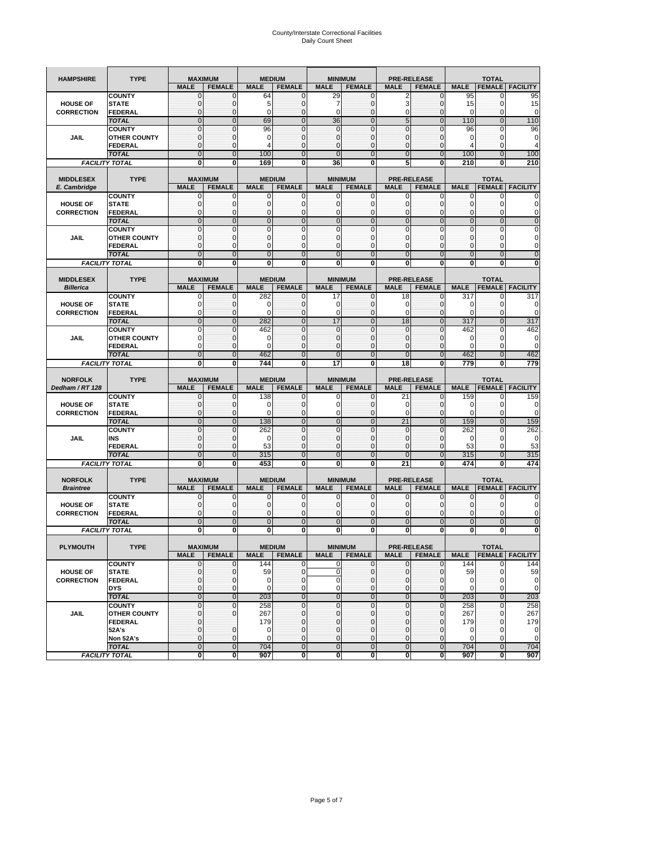# County/Interstate Correctional Facilities Daily Count Sheet

| <b>HAMPSHIRE</b>                     | <b>TYPE</b>                                                            |                                                             | <b>MAXIMUM</b>                                             |                                          | <b>MEDIUM</b>                                      |                                                   | <b>MINIMUM</b>                                                 | <b>PRE-RELEASE</b>                   |                                                              |                                                  | <b>TOTAL</b>                                              |                                                        |
|--------------------------------------|------------------------------------------------------------------------|-------------------------------------------------------------|------------------------------------------------------------|------------------------------------------|----------------------------------------------------|---------------------------------------------------|----------------------------------------------------------------|--------------------------------------|--------------------------------------------------------------|--------------------------------------------------|-----------------------------------------------------------|--------------------------------------------------------|
|                                      |                                                                        | <b>MALE</b>                                                 | <b>FEMALE</b>                                              | <b>MALE</b>                              | <b>FEMALE</b>                                      | <b>MALE</b>                                       | <b>FEMALE</b>                                                  | <b>MALE</b>                          | <b>FEMALE</b>                                                | <b>MALE</b>                                      | <b>FEMALE</b>                                             | <b>FACILITY</b>                                        |
| <b>HOUSE OF</b><br><b>CORRECTION</b> | <b>COUNTY</b><br><b>STATE</b><br>FEDERAL                               | $\mathbf{0}$<br>0<br>0                                      | 0<br>$\mathbf 0$<br>$\mathbf{0}$                           | 64<br>E<br>$\Omega$                      | 0<br>0<br>0                                        | 29<br>7<br>$\mathbf 0$                            | $\mathbf{0}$<br>0<br>$\mathbf{0}$                              | 2<br>3<br>0                          | 0<br>$\mathbf{0}$<br>$\mathbf{0}$                            | 95<br>15<br>0                                    | 0<br>$\mathbf 0$<br>$\mathbf{0}$                          | 95<br>15<br>0                                          |
| JAIL                                 | <b>TOTAL</b><br><b>COUNTY</b><br><b>OTHER COUNTY</b><br><b>FEDERAL</b> | $\mathbf 0$<br>$\mathbf{0}$<br>$\mathbf{0}$<br>$\mathbf{0}$ | $\pmb{0}$<br>$\overline{0}$<br>$\mathbf{0}$<br>$\mathbf 0$ | 69<br>96<br>0<br>4                       | $\mathbf 0$<br>0<br>$\mathbf{O}$<br>$\mathbf 0$    | 36<br>0<br>$\mathbf 0$<br>$\mathbf 0$             | $\mathbf{0}$<br>$\mathbf{0}$<br>$\mathbf{0}$<br>$\mathbf{0}$   | 5<br>$\mathbf 0$<br>0<br>$\mathbf 0$ | $\mathbf{0}$<br>$\mathbf{0}$<br>$\mathbf{0}$<br>$\mathbf{0}$ | 110<br>96<br>0<br>4                              | $\mathbf 0$<br>$\mathbf 0$<br>$\mathbf{0}$<br>$\mathbf 0$ | 110<br>96<br>0<br>4                                    |
|                                      | <b>TOTAL</b><br><b>FACILITY TOTAL</b>                                  | $\Omega$<br>$\bf{0}$                                        | $\mathbf{0}$<br>Ō                                          | 100<br>169                               | $\Omega$<br>0                                      | $\Omega$<br>36                                    | $\Omega$<br>$\bf{0}$                                           | $\overline{0}$<br>5                  | $\mathbf{0}$<br>0                                            | 100<br>210                                       | $\Omega$<br>0                                             | 100<br>210                                             |
|                                      |                                                                        |                                                             |                                                            |                                          |                                                    |                                                   |                                                                |                                      |                                                              |                                                  |                                                           |                                                        |
| <b>MIDDLESEX</b><br>E. Cambridge     | <b>TYPE</b>                                                            | <b>MALE</b>                                                 | <b>MAXIMUM</b><br><b>FEMALE</b>                            | <b>MALE</b>                              | <b>MEDIUM</b><br><b>FEMALE</b>                     | <b>MALE</b>                                       | <b>MINIMUM</b><br><b>FEMALE</b>                                | <b>MALE</b>                          | <b>PRE-RELEASE</b><br><b>FEMALE</b>                          | <b>MALE</b>                                      | <b>TOTAL</b><br><b>FEMALE</b>                             | <b>FACILITY</b>                                        |
| <b>HOUSE OF</b><br><b>CORRECTION</b> | <b>COUNTY</b><br><b>STATE</b><br>FEDERAL<br><b>TOTAL</b>               | 0<br>$\mathbf{0}$<br>$\mathbf{0}$<br>$\mathbf{0}$           | 0<br>$\mathbf 0$<br>$\mathbf 0$<br>$\overline{0}$          | 0<br>$\mathcal{C}$<br>0<br>$\mathbf{0}$  | 0<br>$\mathbf 0$<br>$\mathbf{0}$<br>$\overline{0}$ | 0<br>$\mathbf 0$<br>0<br>$\overline{0}$           | 0<br>$\mathbf{0}$<br>$\mathbf{0}$<br>$\mathbf{0}$              | 0<br>0<br>0<br>$\mathbf 0$           | $\mathbf 0$<br>$\mathbf{0}$<br>$\mathbf{0}$<br>$\mathbf 0$   | 0<br>$\pmb{0}$<br>$\mathbf{0}$<br>$\overline{0}$ | 0<br>$\mathbf{0}$<br>$\mathbf{0}$<br>$\mathbf 0$          | 0<br>0<br>0<br>$\mathbf{0}$                            |
| JAIL                                 | <b>COUNTY</b><br><b>OTHER COUNTY</b><br>FEDERAL<br><b>TOTAL</b>        | 0<br>$\mathbf{0}$<br>$\mathbf{0}$<br>$\overline{0}$         | $\mathbf 0$<br>0<br>$\mathbf{0}$<br>$\overline{0}$         | $\mathbf 0$<br>0<br>$\Omega$<br>$\Omega$ | 0<br>$\mathbf 0$<br>0<br>$\overline{0}$            | 0<br>$\mathbf 0$<br>$\mathbf 0$<br>$\overline{0}$ | $\mathbf{0}$<br>$\mathbf{0}$<br>$\mathbf{0}$<br>$\overline{0}$ | 0<br>0<br>0<br>$\overline{0}$        | 0<br>0<br>0<br>$\overline{0}$                                | 0<br>0<br>0<br>$\overline{0}$                    | 0<br>$\mathbf{0}$<br>0<br>$\mathbf{0}$                    | 0<br>0<br>0<br>$\mathbf{0}$                            |
|                                      | <b>FACILITY TOTAL</b>                                                  | 0                                                           | 0                                                          | 0                                        | 0                                                  | 0                                                 | $\bf{0}$                                                       | 0                                    | 0                                                            | 0                                                | 0                                                         | 0                                                      |
| <b>MIDDLESEX</b>                     | <b>TYPE</b>                                                            |                                                             | <b>MAXIMUM</b>                                             |                                          | <b>MEDIUM</b>                                      |                                                   | <b>MINIMUM</b>                                                 | <b>PRE-RELEASE</b>                   |                                                              |                                                  | <b>TOTAL</b>                                              |                                                        |
| <b>Billerica</b>                     | <b>COUNTY</b>                                                          | <b>MALE</b><br>0                                            | <b>FEMALE</b><br>0                                         | <b>MALE</b><br>282                       | <b>FEMALE</b><br>0                                 | <b>MALE</b><br>17                                 | <b>FEMALE</b><br>0                                             | <b>MALE</b><br>18                    | <b>FEMALE</b><br>0                                           | <b>MALE</b><br>317                               | <b>FEMALE</b><br>0                                        | <b>FACILITY</b><br>317                                 |
| <b>HOUSE OF</b><br><b>CORRECTION</b> | <b>STATE</b><br>FEDERAL                                                | $\Omega$<br>$\Omega$                                        | $\mathbf 0$<br>$\mathbf 0$                                 | C<br>ſ                                   | $\mathbf{0}$<br>0                                  | 0<br>$\Omega$                                     | $\mathbf{0}$<br>$\Omega$                                       | 0<br>$\Omega$                        | $\Omega$<br>$\mathbf{0}$                                     | 0<br>$\Omega$                                    | $\mathbf 0$<br>$\mathbf 0$                                | $\Omega$<br>$\Omega$                                   |
| JAIL                                 | <b>TOTAL</b><br><b>COUNTY</b><br><b>OTHER COUNTY</b>                   | $\mathbf 0$<br>0<br>$\Omega$                                | $\mathbf 0$<br>0<br>$\mathbf 0$                            | 282<br>462<br>$\Omega$                   | $\mathbf 0$<br>$\mathbf{0}$<br>$\mathbf 0$         | 17<br>0<br>$\mathbf 0$                            | $\mathbf{0}$<br>$\mathbf{0}$<br>$\Omega$                       | 18<br>0<br>$\mathbf 0$               | $\mathbf 0$<br>$\mathbf{0}$<br>$\mathbf{0}$                  | 317<br>462<br>0                                  | $\mathbf 0$<br>0<br>$\Omega$                              | 317<br>462<br>0                                        |
|                                      | FEDERAL                                                                | 0                                                           | 0                                                          | $\Omega$                                 | 0                                                  | 0                                                 | $\mathbf{0}$                                                   | 0                                    | $\mathbf{0}$                                                 | $\Omega$                                         | $\mathbf{0}$                                              | $\Omega$                                               |
|                                      | <b>TOTAL</b>                                                           | $\mathbf 0$<br>0                                            | $\overline{0}$<br>0                                        | 462<br>744                               | $\mathbf 0$<br>$\overline{\mathbf{0}}$             | $\overline{0}$<br>17                              | $\mathbf{0}$<br>0                                              | $\overline{0}$<br>18                 | $\mathbf{0}$<br>0                                            | 462<br>779                                       | $\mathbf 0$<br>0                                          | 462<br>779                                             |
| <b>FACILITY TOTAL</b>                |                                                                        |                                                             |                                                            |                                          |                                                    |                                                   |                                                                |                                      |                                                              |                                                  |                                                           |                                                        |
|                                      |                                                                        |                                                             |                                                            |                                          |                                                    |                                                   |                                                                |                                      |                                                              |                                                  |                                                           |                                                        |
| <b>NORFOLK</b><br>Dedham / RT 128    | <b>TYPE</b>                                                            | <b>MALE</b>                                                 | <b>MAXIMUM</b><br><b>FEMALE</b>                            | <b>MALE</b>                              | <b>MEDIUM</b><br><b>FEMALE</b>                     | <b>MALE</b>                                       | <b>MINIMUM</b><br><b>FEMALE</b>                                | <b>MALE</b>                          | <b>PRE-RELEASE</b><br><b>FEMALE</b>                          | <b>MALE</b>                                      | <b>TOTAL</b><br><b>FEMALE</b>                             | <b>FACILITY</b>                                        |
| <b>HOUSE OF</b><br><b>CORRECTION</b> | <b>COUNTY</b><br><b>STATE</b><br>FEDERAL                               | $\mathbf 0$<br>0<br>0                                       | $\mathbf 0$<br>$\mathbf 0$<br>$\mathbf{0}$                 | 138<br>ſ<br>$\Omega$                     | $\mathbf 0$<br>$\mathbf 0$<br>$\mathbf 0$          | 0<br>0<br>0                                       | $\mathbf{0}$<br>0<br>$\mathbf{0}$                              | 21<br>0<br>0                         | 0<br>$\mathbf{0}$<br>$\mathbf{0}$                            | 159<br>$\mathbf 0$<br>$\mathbf 0$                | 0<br>$\mathbf 0$<br>$\mathbf{0}$                          | 159<br>0<br>0                                          |
| <b>JAIL</b>                          | <b>TOTAL</b><br><b>COUNTY</b><br>INS                                   | $\mathbf{0}$<br>$\mathbf{0}$<br>$\mathbf{0}$                | $\mathbf 0$<br>$\mathbf 0$<br>$\mathbf 0$                  | 138<br>262<br>0                          | $\mathbf 0$<br>$\mathbf{0}$<br>$\mathbf{O}$        | 0<br>$\mathbf 0$<br>$\mathbf 0$                   | $\mathbf{0}$<br>$\mathbf{0}$<br>$\mathbf{0}$                   | 21<br>$\mathbf 0$<br>$\mathbf 0$     | $\mathbf{0}$<br>$\mathbf{0}$<br>$\mathbf{0}$                 | 159<br>262<br>0                                  | $\mathbf 0$<br>$\mathbf 0$<br>$\mathbf{0}$                | 159<br>262<br>$\mathbf 0$                              |
|                                      | <b>FEDERAL</b><br><b>TOTAL</b>                                         | $\mathbf{0}$<br>$\Omega$                                    | $\mathbf 0$<br>$\mathbf 0$                                 | 53<br>315                                | $\mathbf 0$<br>$\mathbf{0}$                        | $\overline{0}$<br>$\overline{0}$                  | $\mathbf{0}$<br>$\mathbf{0}$                                   | $\mathbf 0$<br>$\overline{0}$        | $\mathbf{0}$<br>$\mathbf{0}$                                 | 53<br>315                                        | $\mathbf 0$<br>$\mathbf{0}$                               | 53<br>315                                              |
|                                      | <b>FACILITY TOTAL</b>                                                  | $\bf{0}$                                                    | 0                                                          | 453                                      | 0                                                  | 0                                                 | $\bf{0}$                                                       | 21                                   | 0                                                            | 474                                              | 0                                                         | 474                                                    |
| <b>NORFOLK</b><br><b>Braintree</b>   | <b>TYPE</b>                                                            | <b>MALE</b>                                                 | <b>MAXIMUM</b><br><b>FEMALE</b>                            | <b>MALE</b>                              | <b>MEDIUM</b><br><b>FEMALE</b>                     | <b>MALE</b>                                       | <b>MINIMUM</b><br><b>FEMALE</b>                                | <b>MALE</b>                          | <b>PRE-RELEASE</b><br><b>FEMALE</b>                          | <b>MALE</b>                                      | <b>TOTAL</b><br><b>FEMALE</b>                             | <b>FACILITY</b>                                        |
| <b>HOUSE OF</b><br><b>CORRECTION</b> | <b>COUNTY</b><br><b>STATE</b><br>FEDERAL                               | 0<br>0<br>0                                                 | 0<br>$\mathbf 0$<br>$\mathbf 0$                            | 0<br>C<br>0                              | 0<br>$\mathbf 0$<br>0                              | 0<br>$\mathbf 0$<br>0                             | 0<br>0<br>$\mathbf{0}$                                         | 0<br>0<br>0                          | 0<br>0<br>0                                                  | 0<br>0<br>0                                      | 0<br>$\mathbf{0}$<br>0                                    | 0<br>0<br>0                                            |
|                                      | <b>TOTAL</b>                                                           | $\mathbf{0}$                                                | $\mathbf 0$                                                | $\mathbf{0}$                             | $\mathbf{0}$                                       | $\overline{0}$                                    | $\mathbf{0}$                                                   | $\mathbf 0$                          | $\mathbf 0$                                                  | $\overline{0}$                                   | $\mathbf 0$                                               | $\mathbf{0}$                                           |
|                                      | <b>FACILITY TOTAL</b>                                                  | $\bf{0}$                                                    | 0                                                          | 0                                        | 0                                                  | 0                                                 | 0                                                              | 0                                    | 0                                                            | $\mathbf{0}$                                     | 0                                                         | 0                                                      |
| <b>PLYMOUTH</b>                      | <b>TYPE</b>                                                            |                                                             | MAXIMUM                                                    |                                          | <b>MEDIUM</b>                                      |                                                   | <b>MINIMUM</b>                                                 |                                      | <b>PRE-RELEASE</b>                                           |                                                  | TOTAL                                                     |                                                        |
| <b>HOUSE OF</b>                      | <b>COUNTY</b><br><b>STATE</b>                                          | <b>MALE</b><br>$\mathbf{0}$<br>$\mathbf 0$                  | <b>FEMALE</b><br>$\mathbf{0}$<br>0                         | <b>MALE</b><br>144<br>59                 | <b>FEMALE</b><br>0<br>$\mathbf 0$                  | MALE<br>0<br>0                                    | <b>FEMALE</b><br>$\mathbf{0}$<br>$\mathbf{0}$                  | <b>MALE</b><br>$\mathbf 0$<br>0      | <b>FEMALE</b><br>$\mathbf{0}$<br>0                           | <b>MALE</b><br>144<br>59                         | 0<br>0                                                    | <b>FEMALE</b> FACILITY<br>144<br>59                    |
| <b>CORRECTION</b>                    | <b>FEDERAL</b><br><b>DYS</b><br><b>TOTAL</b>                           | $\mathbf{0}$<br>$\mathbf{0}$<br>$\overline{\mathbf{0}}$     | 0<br>0<br>$\overline{0}$                                   | $\mathbf 0$<br>$\Omega$<br>203           | $\mathbf 0$<br>$\mathbf 0$<br>$\overline{0}$       | 0<br>0<br>$\overline{0}$                          | 0<br>$\mathbf{0}$<br>$\overline{0}$                            | 0<br>0<br>$\overline{0}$             | $\mathbf{0}$<br>$\mathbf{0}$<br>$\overline{0}$               | $\mathbf 0$<br>$\mathbf{0}$<br>203               | 0<br>$\mathbf{0}$<br>$\overline{0}$                       |                                                        |
| <b>JAIL</b>                          | <b>COUNTY</b><br><b>OTHER COUNTY</b><br><b>FEDERAL</b>                 | $\mathbf 0$<br>$\mathbf 0$<br>$\mathbf{0}$                  | 0<br>$\mathbf{0}$                                          | 258<br>267<br>179                        | $\mathbf 0$<br>$\mathbf 0$<br>$\mathbf 0$          | 0<br>0<br>$\mathbf 0$                             | $\mathbf{0}$<br>$\mathbf{0}$<br>$\mathbf{0}$                   | $\mathbf 0$<br>0<br>0                | 0<br>$\mathbf 0$<br>$\mathbf{0}$                             | 258<br>267<br>179                                | 0<br>$\mathbf{0}$<br>$\mathbf{0}$                         | $\mathbf 0$<br>$\mathbf 0$<br>203<br>258<br>267<br>179 |
|                                      | 52A's<br>Non 52A's<br><b>TOTAL</b>                                     | $\mathbf 0$<br>$\mathbf 0$<br>$\mathbf 0$                   | 0<br>$\mathbf 0$<br>$\overline{0}$                         | 0<br>0<br>704                            | $\mathbf{0}$<br>$\mathbf{O}$<br>$\overline{0}$     | 0<br>$\mathbf 0$<br>$\overline{0}$                | $\mathbf{0}$<br>$\overline{0}$<br>$\overline{0}$               | 0<br>$\mathbf 0$<br>$\overline{0}$   | $\mathbf{0}$<br>$\mathbf{0}$<br>$\overline{0}$               | $\mathbf 0$<br>$\mathbf 0$<br>704                | 0<br>$\mathbf{0}$<br>$\mathbf 0$                          | $\mathbf 0$<br>$\mathbf 0$<br>704                      |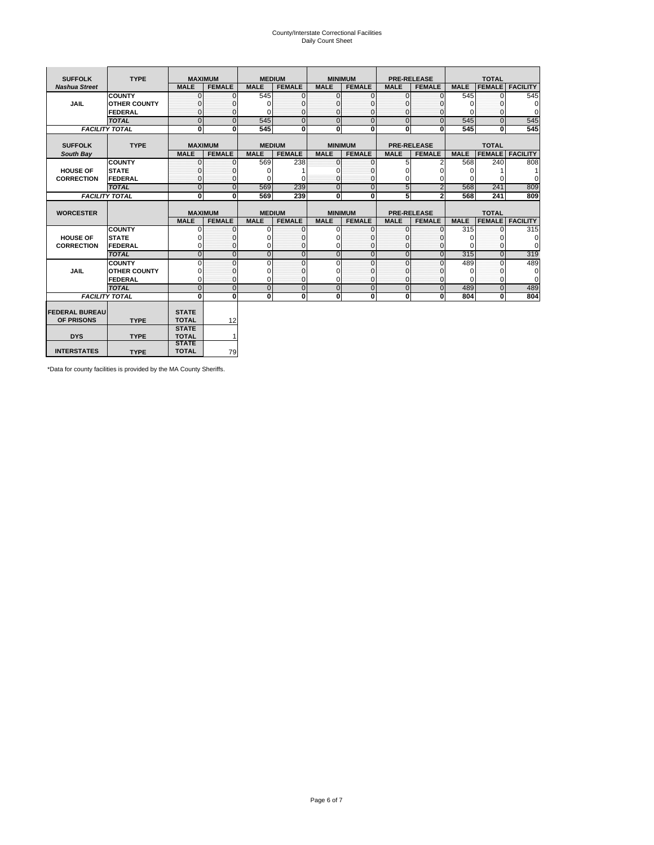# County/Interstate Correctional Facilities Daily Count Sheet

| <b>SUFFOLK</b>                      | <b>TYPE</b>           |                              | <b>MAXIMUM</b>          | <b>MEDIUM</b>  |                | <b>MINIMUM</b>          |                |                | <b>PRE-RELEASE</b> |             | <b>TOTAL</b>  |                        |
|-------------------------------------|-----------------------|------------------------------|-------------------------|----------------|----------------|-------------------------|----------------|----------------|--------------------|-------------|---------------|------------------------|
| <b>Nashua Street</b>                |                       | <b>MALE</b>                  | <b>FEMALE</b>           | <b>MALE</b>    | <b>FEMALE</b>  | <b>MALE</b>             | <b>FEMALE</b>  | <b>MALE</b>    | <b>FEMALE</b>      | <b>MALE</b> |               | <b>FEMALE FACILITY</b> |
|                                     | <b>COUNTY</b>         | $\Omega$                     | 0                       | 545            | 0              | $\mathbf{0}$            | O              | 0              | $\Omega$           | 545         |               | 545                    |
| <b>JAIL</b>                         | <b>OTHER COUNTY</b>   | U                            | 0                       | O              | 0              | $\Omega$                |                | 0              | <sup>0</sup>       | $\Omega$    | O             | 0                      |
|                                     | FEDERAL               | <sup>0</sup>                 | 0                       |                | 0              | $\mathbf{0}$            | 0              | $\Omega$       | $\Omega$           | $\Omega$    | <sup>0</sup>  | $\Omega$               |
|                                     | <b>TOTAL</b>          | $\Omega$                     | $\overline{0}$          | 545            | $\Omega$       | $\overline{0}$          | $\mathbf 0$    | $\overline{0}$ | $\Omega$           | 545         | $\Omega$      | 545                    |
|                                     | <b>FACILITY TOTAL</b> | 0                            | $\overline{\mathbf{0}}$ | 545            | 0              | $\overline{\mathbf{0}}$ | Ō              | Ō              | $\bf{0}$           | 545         | $\Omega$      | 545                    |
|                                     |                       |                              |                         |                |                |                         |                |                |                    |             |               |                        |
| <b>SUFFOLK</b>                      | <b>TYPE</b>           |                              | <b>MAXIMUM</b>          | <b>MEDIUM</b>  |                | <b>MINIMUM</b>          |                |                | <b>PRE-RELEASE</b> |             | <b>TOTAL</b>  |                        |
| South Bay                           |                       | <b>MALE</b>                  | <b>FEMALE</b>           | <b>MALE</b>    | <b>FEMALE</b>  | <b>MALE</b>             | <b>FEMALE</b>  | <b>MALE</b>    | <b>FEMALE</b>      | <b>MALE</b> | <b>FEMALE</b> | <b>FACILITY</b>        |
|                                     | <b>COUNTY</b>         | $\Omega$                     | $\mathbf{0}$            | 569            | 238            | ō                       | $\Omega$       | 5              | 2                  | 568         | 240           | 808                    |
| <b>HOUSE OF</b>                     | <b>STATE</b>          |                              | 0                       | O              |                | $\Omega$                |                | 0              |                    | 0           |               |                        |
| <b>CORRECTION</b>                   | FEDERAL               | O                            | 0                       |                | $\Omega$       | $\mathbf{0}$            | C              | 0              | 0                  | $\Omega$    | ŋ             | 0                      |
|                                     | <b>TOTAL</b>          | $\overline{0}$               | $\overline{0}$          | 569            | 239            | $\overline{0}$          | $\overline{0}$ | 5              | $\overline{2}$     | 568         | 241           | 809                    |
|                                     | <b>FACILITY TOTAL</b> | O                            | 0                       | 569            | 239            | 0                       | 0              | 5              | $\overline{a}$     | 568         | 241           | 809                    |
|                                     |                       |                              |                         |                |                |                         |                |                |                    |             |               |                        |
| <b>WORCESTER</b>                    |                       |                              | <b>MAXIMUM</b>          | <b>MEDIUM</b>  |                | <b>MINIMUM</b>          |                |                | <b>PRE-RELEASE</b> |             | <b>TOTAL</b>  |                        |
|                                     |                       | <b>MALE</b>                  | <b>FEMALE</b>           | <b>MALE</b>    | <b>FEMALE</b>  | <b>MALE</b>             | <b>FEMALE</b>  | <b>MALE</b>    | <b>FEMALE</b>      | <b>MALE</b> | <b>FEMALE</b> | <b>FACILITY</b>        |
|                                     | <b>COUNTY</b>         | $\Omega$                     | 0                       | 0              | 0              | 0                       | $\Omega$       | $\mathbf 0$    | $\Omega$           | 315         | <sup>0</sup>  | 315                    |
| <b>HOUSE OF</b>                     | <b>STATE</b>          |                              | 0                       |                | 0              | $\Omega$                |                | $\Omega$       | O                  |             | O             | $\mathbf 0$            |
| <b>CORRECTION</b>                   | FEDERAL               | 0                            | 0                       |                | 0              | 0                       |                | $\Omega$       | $\Omega$           | $\Omega$    | $\Omega$      | $\overline{0}$         |
|                                     | <b>TOTAL</b>          | $\overline{0}$               | $\overline{0}$          | $\overline{0}$ | 0              | $\overline{0}$          | $\overline{0}$ | $\overline{0}$ | $\overline{0}$     | 315         | $\Omega$      | 319                    |
|                                     | <b>COUNTY</b>         | $\Omega$                     | 0                       | $\Omega$       | $\Omega$       | $\Omega$                | $\Omega$       | $\Omega$       | $\Omega$           | 489         | $\Omega$      | 489                    |
| <b>JAIL</b>                         | <b>OTHER COUNTY</b>   |                              | 0                       |                | 0              | $\Omega$                |                | $\Omega$       | <sup>0</sup>       | $\Omega$    | 0             | $\mathbf 0$            |
|                                     | <b>FEDERAL</b>        | $\Omega$                     | $\mathbf{0}$            | U              | $\Omega$       | $\Omega$                | $\Omega$       | $\Omega$       | $\Omega$           | $\Omega$    | $\Omega$      | $\Omega$               |
|                                     | <b>TOTAL</b>          | $\overline{0}$               | $\overline{0}$          | $\Omega$       | $\overline{0}$ | $\overline{0}$          | $\overline{0}$ | $\overline{0}$ | $\overline{0}$     | 489         | $\Omega$      | 489                    |
|                                     | <b>FACILITY TOTAL</b> | $\Omega$                     | 0                       | $\mathbf{0}$   | $\mathbf{0}$   | 0                       | 0              | 0              | 0                  | 804         | 0             | 804                    |
|                                     |                       |                              |                         |                |                |                         |                |                |                    |             |               |                        |
| <b>FEDERAL BUREAU</b><br>OF PRISONS | <b>TYPE</b>           | <b>STATE</b><br><b>TOTAL</b> | 12                      |                |                |                         |                |                |                    |             |               |                        |
|                                     |                       | <b>STATE</b>                 |                         |                |                |                         |                |                |                    |             |               |                        |
| <b>DYS</b>                          | <b>TYPE</b>           | <b>TOTAL</b>                 | 1                       |                |                |                         |                |                |                    |             |               |                        |
|                                     |                       | <b>STATE</b>                 |                         |                |                |                         |                |                |                    |             |               |                        |
| <b>INTERSTATES</b>                  | <b>TYPE</b>           | <b>TOTAL</b>                 | 79                      |                |                |                         |                |                |                    |             |               |                        |

\*Data for county facilities is provided by the MA County Sheriffs.